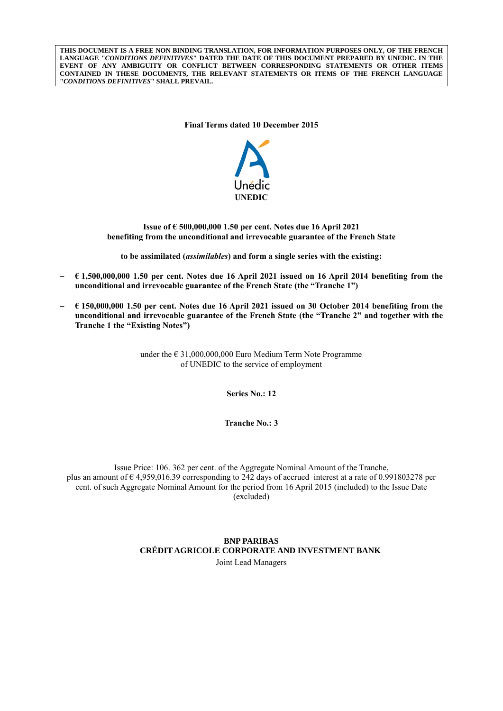**THIS DOCUMENT IS A FREE NON BINDING TRANSLATION, FOR INFORMATION PURPOSES ONLY, OF THE FRENCH LANGUAGE "***CONDITIONS DEFINITIVES***" DATED THE DATE OF THIS DOCUMENT PREPARED BY UNEDIC. IN THE EVENT OF ANY AMBIGUITY OR CONFLICT BETWEEN CORRESPONDING STATEMENTS OR OTHER ITEMS CONTAINED IN THESE DOCUMENTS, THE RELEVANT STATEMENTS OR ITEMS OF THE FRENCH LANGUAGE "***CONDITIONS DEFINITIVES***" SHALL PREVAIL.**

**Final Terms dated 10 December 2015**



**Issue of € 500,000,000 1.50 per cent. Notes due 16 April 2021 benefiting from the unconditional and irrevocable guarantee of the French State**

**to be assimilated (***assimilables***) and form a single series with the existing:**

- **€ 1,500,000,000 1.50 per cent. Notes due 16 April 2021 issued on 16 April 2014 benefiting from the unconditional and irrevocable guarantee of the French State (the "Tranche 1")**
- **€ 150,000,000 1.50 per cent. Notes due 16 April 2021 issued on 30 October 2014 benefiting from the unconditional and irrevocable guarantee of the French State (the "Tranche 2" and together with the Tranche 1 the "Existing Notes")**

under the  $\epsilon$  31,000,000,000 Euro Medium Term Note Programme of UNEDIC to the service of employment

**Series No.: 12**

**Tranche No.: 3**

Issue Price: 106. 362 per cent. of the Aggregate Nominal Amount of the Tranche, plus an amount of  $\epsilon$  4,959,016.39 corresponding to 242 days of accrued interest at a rate of 0.991803278 per cent. of such Aggregate Nominal Amount for the period from 16 April 2015 (included) to the Issue Date (excluded)

# **BNP PARIBAS CRÉDIT AGRICOLE CORPORATE AND INVESTMENT BANK**

Joint Lead Managers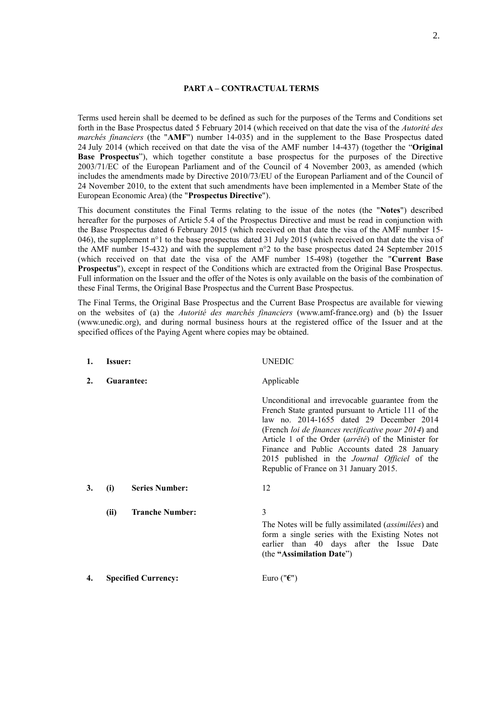#### **PART A – CONTRACTUAL TERMS**

Terms used herein shall be deemed to be defined as such for the purposes of the Terms and Conditions set forth in the Base Prospectus dated 5 February 2014 (which received on that date the visa of the *Autorité des marchés financiers* (the "**AMF**") number 14-035) and in the supplement to the Base Prospectus dated 24 July 2014 (which received on that date the visa of the AMF number 14-437) (together the "**Original Base Prospectus**"), which together constitute a base prospectus for the purposes of the Directive 2003/71/EC of the European Parliament and of the Council of 4 November 2003, as amended (which includes the amendments made by Directive 2010/73/EU of the European Parliament and of the Council of 24 November 2010, to the extent that such amendments have been implemented in a Member State of the European Economic Area) (the "**Prospectus Directive**").

This document constitutes the Final Terms relating to the issue of the notes (the "**Notes**") described hereafter for the purposes of Article 5.4 of the Prospectus Directive and must be read in conjunction with the Base Prospectus dated 6 February 2015 (which received on that date the visa of the AMF number 15- 046), the supplement  $n^{\circ}1$  to the base prospectus dated 31 July 2015 (which received on that date the visa of the AMF number 15-432) and with the supplement n°2 to the base prospectus dated 24 September 2015 (which received on that date the visa of the AMF number 15-498) (together the "**Current Base Prospectus**"), except in respect of the Conditions which are extracted from the Original Base Prospectus. Full information on the Issuer and the offer of the Notes is only available on the basis of the combination of these Final Terms, the Original Base Prospectus and the Current Base Prospectus.

The Final Terms, the Original Base Prospectus and the Current Base Prospectus are available for viewing on the websites of (a) the *Autorité des marchés financiers* (www.amf-france.org) and (b) the Issuer (www.unedic.org), and during normal business hours at the registered office of the Issuer and at the specified offices of the Paying Agent where copies may be obtained.

| 1. | <b>Issuer:</b> |                            | UNEDIC                                                                                                                                                                                                                                                                                                                                                                                                               |
|----|----------------|----------------------------|----------------------------------------------------------------------------------------------------------------------------------------------------------------------------------------------------------------------------------------------------------------------------------------------------------------------------------------------------------------------------------------------------------------------|
| 2. | Guarantee:     |                            | Applicable                                                                                                                                                                                                                                                                                                                                                                                                           |
|    |                |                            | Unconditional and irrevocable guarantee from the<br>French State granted pursuant to Article 111 of the<br>law no. 2014-1655 dated 29 December 2014<br>(French loi de finances rectificative pour 2014) and<br>Article 1 of the Order (arrêté) of the Minister for<br>Finance and Public Accounts dated 28 January<br>2015 published in the <i>Journal Officiel</i> of the<br>Republic of France on 31 January 2015. |
| 3. | (i)            | <b>Series Number:</b>      | 12                                                                                                                                                                                                                                                                                                                                                                                                                   |
|    | (ii)           | <b>Tranche Number:</b>     | 3<br>The Notes will be fully assimilated (assimilées) and<br>form a single series with the Existing Notes not<br>earlier than 40 days after the Issue Date<br>(the "Assimilation Date")                                                                                                                                                                                                                              |
| 4. |                | <b>Specified Currency:</b> | Euro (" $\epsilon$ ")                                                                                                                                                                                                                                                                                                                                                                                                |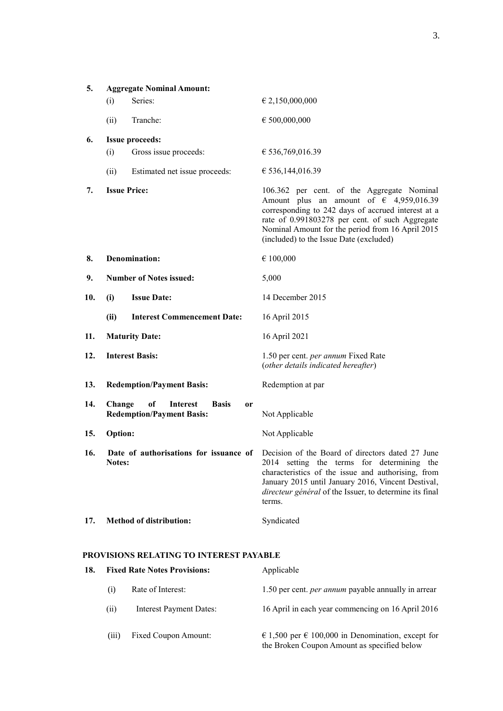| 5.  | <b>Aggregate Nominal Amount:</b>                                                                     |                                                                                                                                                                                                                                                                                                        |
|-----|------------------------------------------------------------------------------------------------------|--------------------------------------------------------------------------------------------------------------------------------------------------------------------------------------------------------------------------------------------------------------------------------------------------------|
|     | Series:<br>(i)                                                                                       | $\in 2,150,000,000$                                                                                                                                                                                                                                                                                    |
|     | Tranche:<br>(ii)                                                                                     | $\epsilon$ 500,000,000                                                                                                                                                                                                                                                                                 |
| 6.  | <b>Issue proceeds:</b>                                                                               |                                                                                                                                                                                                                                                                                                        |
|     | Gross issue proceeds:<br>(i)                                                                         | € 536,769,016.39                                                                                                                                                                                                                                                                                       |
|     | (ii)<br>Estimated net issue proceeds:                                                                | € 536,144,016.39                                                                                                                                                                                                                                                                                       |
| 7.  | <b>Issue Price:</b>                                                                                  | 106.362 per cent. of the Aggregate Nominal<br>Amount plus an amount of $\epsilon$ 4,959,016.39<br>corresponding to 242 days of accrued interest at a<br>rate of 0.991803278 per cent. of such Aggregate<br>Nominal Amount for the period from 16 April 2015<br>(included) to the Issue Date (excluded) |
| 8.  | <b>Denomination:</b>                                                                                 | $\in$ 100,000                                                                                                                                                                                                                                                                                          |
| 9.  | <b>Number of Notes issued:</b>                                                                       | 5,000                                                                                                                                                                                                                                                                                                  |
| 10. | <b>Issue Date:</b><br>(i)                                                                            | 14 December 2015                                                                                                                                                                                                                                                                                       |
|     | <b>Interest Commencement Date:</b><br>(ii)                                                           | 16 April 2015                                                                                                                                                                                                                                                                                          |
| 11. | <b>Maturity Date:</b>                                                                                | 16 April 2021                                                                                                                                                                                                                                                                                          |
| 12. | <b>Interest Basis:</b>                                                                               | 1.50 per cent. per annum Fixed Rate<br>(other details indicated hereafter)                                                                                                                                                                                                                             |
| 13. | <b>Redemption/Payment Basis:</b>                                                                     | Redemption at par                                                                                                                                                                                                                                                                                      |
| 14. | of<br><b>Interest</b><br>Change<br><b>Basis</b><br><sub>or</sub><br><b>Redemption/Payment Basis:</b> | Not Applicable                                                                                                                                                                                                                                                                                         |
| 15. | <b>Option:</b>                                                                                       | Not Applicable                                                                                                                                                                                                                                                                                         |
| 16. | Date of authorisations for issuance of<br><b>Notes:</b>                                              | Decision of the Board of directors dated 27 June<br>2014 setting the terms for determining the<br>characteristics of the issue and authorising, from<br>January 2015 until January 2016, Vincent Destival,<br>directeur général of the Issuer, to determine its final<br>terms.                        |
| 17. | <b>Method of distribution:</b>                                                                       | Syndicated                                                                                                                                                                                                                                                                                             |

## **PROVISIONS RELATING TO INTEREST PAYABLE**

| 18. | <b>Fixed Rate Notes Provisions:</b> |                                | Applicable                                                                                       |  |
|-----|-------------------------------------|--------------------------------|--------------------------------------------------------------------------------------------------|--|
|     | (1)                                 | Rate of Interest:              | 1.50 per cent. <i>per annum</i> payable annually in arrear                                       |  |
|     | (i)                                 | <b>Interest Payment Dates:</b> | 16 April in each year commencing on 16 April 2016                                                |  |
|     | (iii)                               | Fixed Coupon Amount:           | € 1,500 per € 100,000 in Denomination, except for<br>the Broken Coupon Amount as specified below |  |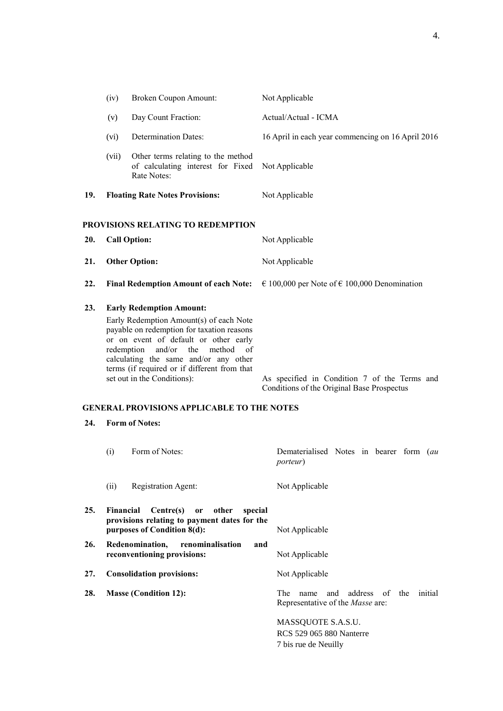|     | (iv)  | <b>Broken Coupon Amount:</b>                                                                                                                                                                                                                                                                                                 | Not Applicable                                                                             |
|-----|-------|------------------------------------------------------------------------------------------------------------------------------------------------------------------------------------------------------------------------------------------------------------------------------------------------------------------------------|--------------------------------------------------------------------------------------------|
|     | (v)   | Day Count Fraction:                                                                                                                                                                                                                                                                                                          | Actual/Actual - ICMA                                                                       |
|     | (vi)  | <b>Determination Dates:</b>                                                                                                                                                                                                                                                                                                  | 16 April in each year commencing on 16 April 2016                                          |
|     | (vii) | Other terms relating to the method<br>of calculating interest for Fixed<br>Rate Notes:                                                                                                                                                                                                                                       | Not Applicable                                                                             |
| 19. |       | <b>Floating Rate Notes Provisions:</b>                                                                                                                                                                                                                                                                                       | Not Applicable                                                                             |
| 20. |       | PROVISIONS RELATING TO REDEMPTION<br><b>Call Option:</b>                                                                                                                                                                                                                                                                     | Not Applicable                                                                             |
| 21. |       | <b>Other Option:</b>                                                                                                                                                                                                                                                                                                         | Not Applicable                                                                             |
| 22. |       | <b>Final Redemption Amount of each Note:</b>                                                                                                                                                                                                                                                                                 | € 100,000 per Note of € 100,000 Denomination                                               |
| 23. |       | <b>Early Redemption Amount:</b><br>Early Redemption Amount(s) of each Note<br>payable on redemption for taxation reasons<br>or on event of default or other early<br>redemption and/or the method of<br>calculating the same and/or any other<br>terms (if required or if different from that<br>set out in the Conditions): | As specified in Condition 7 of the Terms and<br>Conditions of the Original Base Prospectus |

## **GENERAL PROVISIONS APPLICABLE TO THE NOTES**

# **24. Form of Notes:**

|     | (i)       | Form of Notes:                                                                | Dematerialised Notes in bearer form (au<br><i>porteur</i> ) |
|-----|-----------|-------------------------------------------------------------------------------|-------------------------------------------------------------|
|     | (ii)      | Registration Agent:                                                           | Not Applicable                                              |
| 25. | Financial | Centre(s) or other<br>special<br>provisions relating to payment dates for the |                                                             |
|     |           | purposes of Condition 8(d):                                                   | Not Applicable                                              |
| 26. |           | Redenomination,<br>renominalisation<br>and                                    |                                                             |
|     |           | reconventioning provisions:                                                   | Not Applicable                                              |
| 27. |           | <b>Consolidation provisions:</b>                                              | Not Applicable                                              |
| 28. |           | <b>Masse (Condition 12):</b>                                                  | and address of the initial<br>The<br>name                   |
|     |           |                                                                               | Representative of the <i>Masse</i> are:                     |
|     |           |                                                                               | MASSQUOTE S.A.S.U.                                          |
|     |           |                                                                               | RCS 529 065 880 Nanterre                                    |
|     |           |                                                                               | 7 bis rue de Neuilly                                        |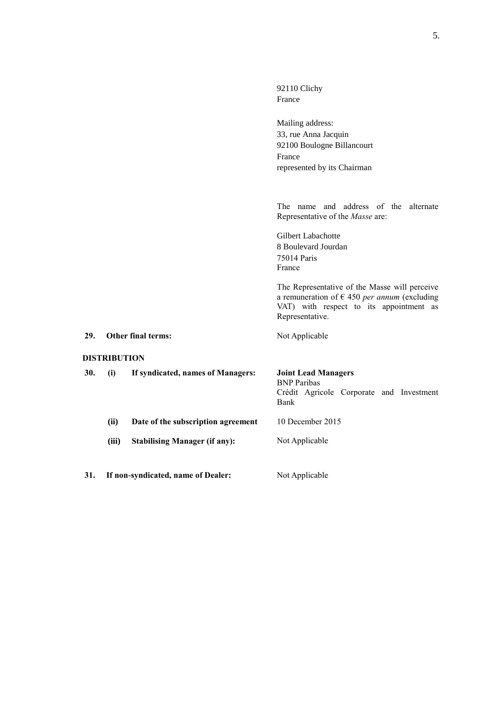|     |                     |                                      | 92110 Clichy<br>France                                                                                                                                               |  |
|-----|---------------------|--------------------------------------|----------------------------------------------------------------------------------------------------------------------------------------------------------------------|--|
|     |                     |                                      | Mailing address:<br>33, rue Anna Jacquin<br>92100 Boulogne Billancourt<br>France<br>represented by its Chairman                                                      |  |
|     |                     |                                      | The name and address of the alternate<br>Representative of the Masse are:                                                                                            |  |
|     |                     |                                      | Gilbert Labachotte<br>8 Boulevard Jourdan<br>75014 Paris<br>France                                                                                                   |  |
|     |                     |                                      | The Representative of the Masse will perceive<br>a remuneration of $\epsilon$ 450 per annum (excluding<br>VAT) with respect to its appointment as<br>Representative. |  |
| 29. |                     | Other final terms:                   | Not Applicable                                                                                                                                                       |  |
|     | <b>DISTRIBUTION</b> |                                      |                                                                                                                                                                      |  |
| 30. | (i)                 | If syndicated, names of Managers:    | <b>Joint Lead Managers</b><br><b>BNP</b> Paribas<br>Crédit Agricole Corporate and Investment<br>Bank                                                                 |  |
|     | (ii)                | Date of the subscription agreement   | 10 December 2015                                                                                                                                                     |  |
|     | (iii)               | <b>Stabilising Manager (if any):</b> | Not Applicable                                                                                                                                                       |  |
| 31. |                     | If non-syndicated, name of Dealer:   | Not Applicable                                                                                                                                                       |  |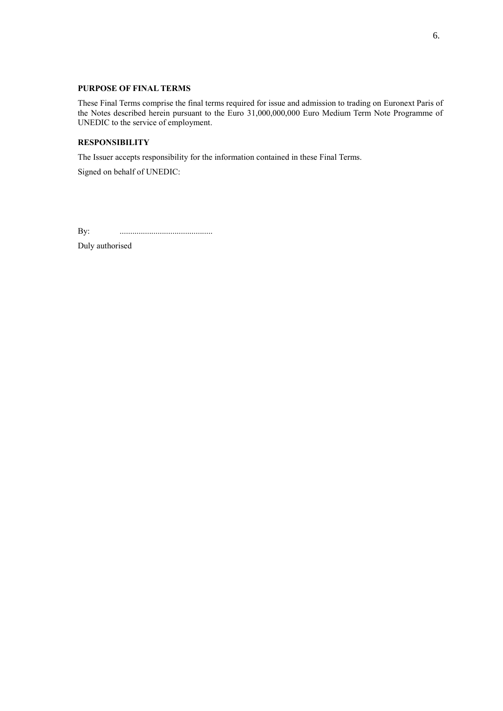### **PURPOSE OF FINAL TERMS**

These Final Terms comprise the final terms required for issue and admission to trading on Euronext Paris of the Notes described herein pursuant to the Euro 31,000,000,000 Euro Medium Term Note Programme of UNEDIC to the service of employment.

### **RESPONSIBILITY**

The Issuer accepts responsibility for the information contained in these Final Terms.

Signed on behalf of UNEDIC:

By: ............................................

Duly authorised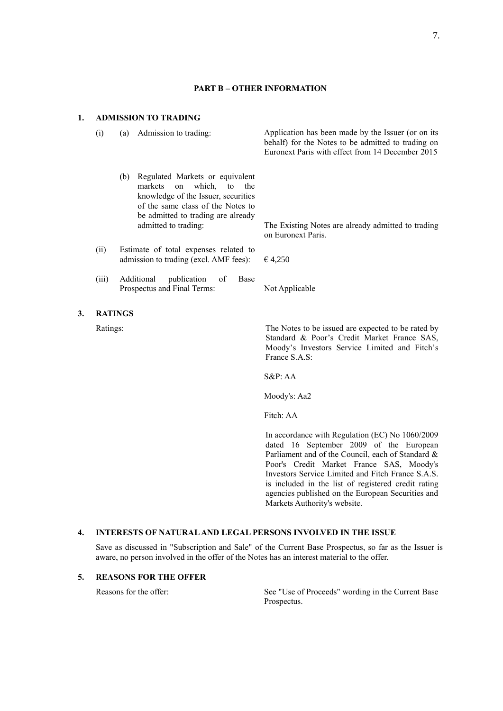#### **PART B – OTHER INFORMATION**

#### **1. ADMISSION TO TRADING**

- - (b) Regulated Markets or equivalent markets on which, to the knowledge of the Issuer, securities of the same class of the Notes to be admitted to trading are already
- (ii) Estimate of total expenses related to admission to trading (excl. AMF fees):  $\epsilon$  4,250
- (iii) Additional publication of Base Prospectus and Final Terms: Not Applicable
- **3. RATINGS**

(i) (a) Admission to trading: Application has been made by the Issuer (or on its behalf) for the Notes to be admitted to trading on Euronext Paris with effect from 14 December 2015

> admitted to trading: The Existing Notes are already admitted to trading on Euronext Paris.

Ratings: The Notes to be issued are expected to be rated by Standard & Poor's Credit Market France SAS, Moody's Investors Service Limited and Fitch's France S.A.S:

S&P: AA

Moody's: Aa2

Fitch: AA

In accordance with Regulation (EC) No 1060/2009 dated 16 September 2009 of the European Parliament and of the Council, each of Standard & Poor's Credit Market France SAS, Moody's Investors Service Limited and Fitch France S.A.S. is included in the list of registered credit rating agencies published on the European Securities and Markets Authority's website.

#### **4. INTERESTS OF NATURAL AND LEGAL PERSONS INVOLVED IN THE ISSUE**

Save as discussed in "Subscription and Sale" of the Current Base Prospectus, so far as the Issuer is aware, no person involved in the offer of the Notes has an interest material to the offer.

### **5. REASONS FOR THE OFFER**

Reasons for the offer: See "Use of Proceeds" wording in the Current Base Prospectus.